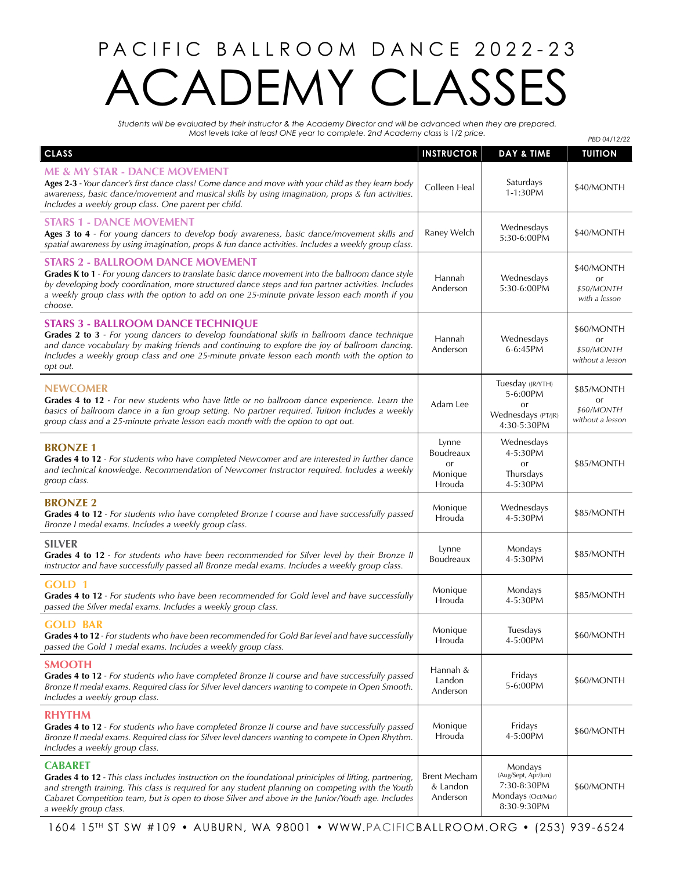## PACIFIC BALLROOM DANCE 2022-23 DEMY CLASSES

*Students will be evaluated by their instructor & the Academy Director and will be advanced when they are prepared. Most levels take at least ONE year to complete. 2nd Academy class is 1/2 price.* 

| Most levels take at least ONE year to complete. Zna Academy class is 172 price.<br>PBD 04/12/22                                                                                                                                                                                                                                                                |                                               |                                                                                   |                                                    |  |
|----------------------------------------------------------------------------------------------------------------------------------------------------------------------------------------------------------------------------------------------------------------------------------------------------------------------------------------------------------------|-----------------------------------------------|-----------------------------------------------------------------------------------|----------------------------------------------------|--|
| <b>CLASS</b>                                                                                                                                                                                                                                                                                                                                                   | <b>INSTRUCTOR</b>                             | DAY & TIME                                                                        | <b>TUITION</b>                                     |  |
| <b>ME &amp; MY STAR - DANCE MOVEMENT</b><br>Ages 2-3 - Your dancer's first dance class! Come dance and move with your child as they learn body<br>awareness, basic dance/movement and musical skills by using imagination, props & fun activities.<br>Includes a weekly group class. One parent per child.                                                     | Colleen Heal                                  | Saturdays<br>1-1:30PM                                                             | \$40/MONTH                                         |  |
| <b>STARS 1 - DANCE MOVEMENT</b><br>Ages 3 to 4 - For young dancers to develop body awareness, basic dance/movement skills and<br>spatial awareness by using imagination, props & fun dance activities. Includes a weekly group class.                                                                                                                          | Raney Welch                                   | Wednesdays<br>5:30-6:00PM                                                         | \$40/MONTH                                         |  |
| <b>STARS 2 - BALLROOM DANCE MOVEMENT</b><br>Grades K to 1 - For young dancers to translate basic dance movement into the ballroom dance style<br>by developing body coordination, more structured dance steps and fun partner activities. Includes<br>a weekly group class with the option to add on one 25-minute private lesson each month if you<br>choose. | Hannah<br>Anderson                            | Wednesdays<br>5:30-6:00PM                                                         | \$40/MONTH<br>or<br>\$50/MONTH<br>with a lesson    |  |
| <b>STARS 3 - BALLROOM DANCE TECHNIQUE</b><br>Grades 2 to 3 - For young dancers to develop foundational skills in ballroom dance technique<br>and dance vocabulary by making friends and continuing to explore the joy of ballroom dancing.<br>Includes a weekly group class and one 25-minute private lesson each month with the option to<br>opt out.         | Hannah<br>Anderson                            | Wednesdays<br>6-6:45PM                                                            | \$60/MONTH<br>or<br>\$50/MONTH<br>without a lesson |  |
| <b>NEWCOMER</b><br>Grades 4 to 12 - For new students who have little or no ballroom dance experience. Learn the<br>basics of ballroom dance in a fun group setting. No partner required. Tuition Includes a weekly<br>group class and a 25-minute private lesson each month with the option to opt out.                                                        | Adam Lee                                      | Tuesday (JR/YTH)<br>5-6:00PM<br>or<br>Wednesdays (PT/JR)<br>4:30-5:30PM           | \$85/MONTH<br>or<br>\$60/MONTH<br>without a lesson |  |
| <b>BRONZE1</b><br>Grades 4 to 12 - For students who have completed Newcomer and are interested in further dance<br>and technical knowledge. Recommendation of Newcomer Instructor required. Includes a weekly<br>group class.                                                                                                                                  | Lynne<br>Boudreaux<br>or<br>Monique<br>Hrouda | Wednesdays<br>4-5:30PM<br>or<br>Thursdays<br>4-5:30PM                             | \$85/MONTH                                         |  |
| <b>BRONZE 2</b><br>Grades 4 to 12 - For students who have completed Bronze I course and have successfully passed<br>Bronze I medal exams. Includes a weekly group class.                                                                                                                                                                                       | Monique<br>Hrouda                             | Wednesdays<br>4-5:30PM                                                            | \$85/MONTH                                         |  |
| <b>SILVER</b><br>Grades 4 to 12 - For students who have been recommended for Silver level by their Bronze II<br>instructor and have successfully passed all Bronze medal exams. Includes a weekly group class.                                                                                                                                                 | Lynne<br>Boudreaux                            | Mondays<br>4-5:30PM                                                               | \$85/MONTH                                         |  |
| GOLD <sub>1</sub><br>Grades 4 to 12 - For students who have been recommended for Gold level and have successfully<br>passed the Silver medal exams. Includes a weekly group class.                                                                                                                                                                             | Monique<br>Hrouda                             | Mondays<br>4-5:30PM                                                               | \$85/MONTH                                         |  |
| <b>GOLD BAR</b><br>Grades 4 to 12 - For students who have been recommended for Gold Bar level and have successfully<br>passed the Gold 1 medal exams. Includes a weekly group class.                                                                                                                                                                           | Monique<br>Hrouda                             | Tuesdays<br>4-5:00PM                                                              | \$60/MONTH                                         |  |
| <b>SMOOTH</b><br>Grades 4 to 12 - For students who have completed Bronze II course and have successfully passed<br>Bronze II medal exams. Required class for Silver level dancers wanting to compete in Open Smooth.<br>Includes a weekly group class.                                                                                                         | Hannah &<br>Landon<br>Anderson                | Fridays<br>5-6:00PM                                                               | \$60/MONTH                                         |  |
| <b>RHYTHM</b><br>Grades 4 to 12 - For students who have completed Bronze II course and have successfully passed<br>Bronze II medal exams. Required class for Silver level dancers wanting to compete in Open Rhythm.<br>Includes a weekly group class.                                                                                                         | Monique<br>Hrouda                             | Fridays<br>4-5:00PM                                                               | \$60/MONTH                                         |  |
| <b>CABARET</b><br>Grades 4 to 12 - This class includes instruction on the foundational priniciples of lifting, partnering,<br>and strength training. This class is required for any student planning on competing with the Youth<br>Cabaret Competition team, but is open to those Silver and above in the Junior/Youth age. Includes<br>a weekly group class. | Brent Mecham<br>& Landon<br>Anderson          | Mondays<br>(Aug/Sept, Apr/Jun)<br>7:30-8:30PM<br>Mondays (Oct/Mar)<br>8:30-9:30PM | \$60/MONTH                                         |  |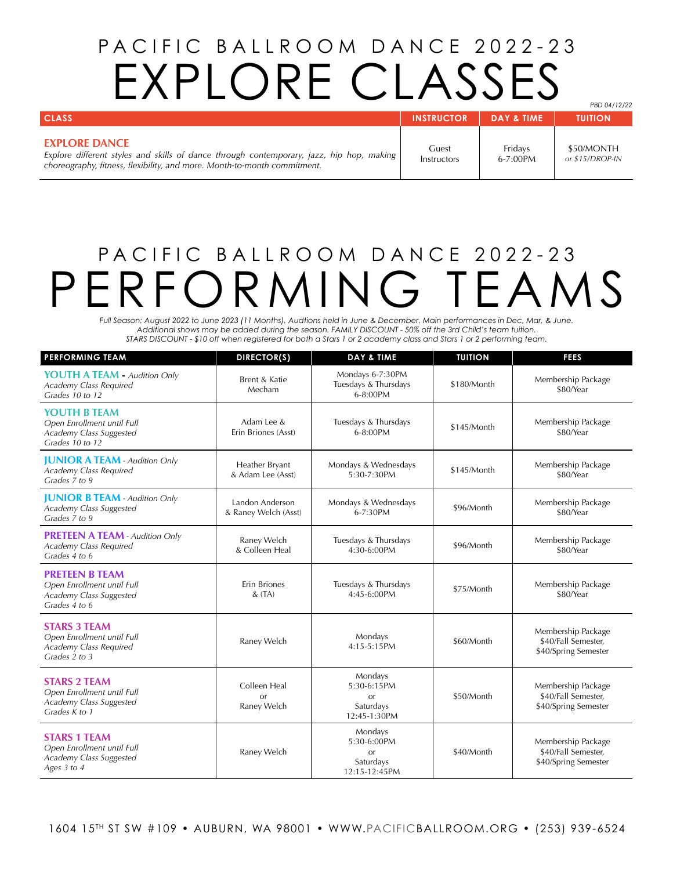## PACIFIC BALLROOM DANCE 2022-23 EXPLORE CLASSES

*PBD 04/12/22*

| <b>CLASS</b>                                                                                                                                                                                 | <b>INSTRUCTOR</b>    | DAY & TIME               | <b>TUITION</b>                |
|----------------------------------------------------------------------------------------------------------------------------------------------------------------------------------------------|----------------------|--------------------------|-------------------------------|
| <b>EXPLORE DANCE</b><br>Explore different styles and skills of dance through contemporary, jazz, hip hop, making<br>choreography, fitness, flexibility, and more. Month-to-month commitment. | Guest<br>Instructors | Fridavs<br>$6 - 7:00$ PM | \$50/MONTH<br>or \$15/DROP-IN |

## PACIFIC BALLROOM DANCE 2022-23 PERFORMING TEAMS

*Full Season: August 2022 to June 2023 (11 Months). Audtions held in June & December. Main performances in Dec, Mar, & June. Additional shows may be added during the season. FAMILY DISCOUNT - 50% off the 3rd Child's team tuition. STARS DISCOUNT - \$10 off when registered for both a Stars 1 or 2 academy class and Stars 1 or 2 performing team.*

| <b>PERFORMING TEAM</b>                                                                              | DIRECTOR(S)                               | <b>DAY &amp; TIME</b>                                              | <b>TUITION</b> | <b>FEES</b>                                                       |
|-----------------------------------------------------------------------------------------------------|-------------------------------------------|--------------------------------------------------------------------|----------------|-------------------------------------------------------------------|
| <b>YOUTH A TEAM - Audition Only</b><br>Academy Class Required<br>Grades 10 to 12                    | Brent & Katie<br>Mecham                   | Mondays 6-7:30PM<br>Tuesdays & Thursdays<br>6-8:00PM               | \$180/Month    | Membership Package<br>\$80/Year                                   |
| YOUTH B TFAM<br>Open Enrollment until Full<br>Academy Class Suggested<br>Grades 10 to 12            | Adam Lee &<br>Erin Briones (Asst)         | Tuesdays & Thursdays<br>6-8:00PM                                   | \$145/Month    | Membership Package<br>\$80/Year                                   |
| <b>JUNIOR A TEAM - Audition Only</b><br>Academy Class Required<br>Grades 7 to 9                     | Heather Bryant<br>& Adam Lee (Asst)       | Mondays & Wednesdays<br>5:30-7:30PM                                | \$145/Month    | Membership Package<br>\$80/Year                                   |
| <b>JUNIOR B TEAM - Audition Only</b><br>Academy Class Suggested<br>Grades 7 to 9                    | Landon Anderson<br>& Raney Welch (Asst)   | Mondays & Wednesdays<br>6-7:30PM                                   | \$96/Month     | Membership Package<br>\$80/Year                                   |
| <b>PRETEEN A TEAM</b> - Audition Only<br>Academy Class Required<br>Grades 4 to 6                    | Raney Welch<br>& Colleen Heal             | Tuesdays & Thursdays<br>4:30-6:00PM                                | \$96/Month     | Membership Package<br>\$80/Year                                   |
| <b>PRETEEN B TEAM</b><br>Open Enrollment until Full<br>Academy Class Suggested<br>Grades 4 to 6     | Erin Briones<br>$&$ (TA)                  | Tuesdays & Thursdays<br>4:45-6:00PM                                | \$75/Month     | Membership Package<br>\$80/Year                                   |
| <b>STARS 3 TEAM</b><br>Open Enrollment until Full<br><b>Academy Class Required</b><br>Grades 2 to 3 | Raney Welch                               | Mondays<br>4:15-5:15PM                                             | \$60/Month     | Membership Package<br>\$40/Fall Semester,<br>\$40/Spring Semester |
| <b>STARS 2 TEAM</b><br>Open Enrollment until Full<br>Academy Class Suggested<br>Grades K to 1       | Colleen Heal<br>$\alpha$ r<br>Raney Welch | Mondays<br>5:30-6:15PM<br><b>or</b><br>Saturdays<br>12:45-1:30PM   | \$50/Month     | Membership Package<br>\$40/Fall Semester,<br>\$40/Spring Semester |
| <b>STARS 1 TEAM</b><br>Open Enrollment until Full<br>Academy Class Suggested<br>Ages 3 to 4         | Raney Welch                               | Mondays<br>5:30-6:00PM<br>$\alpha$ r<br>Saturdays<br>12:15-12:45PM | \$40/Month     | Membership Package<br>\$40/Fall Semester,<br>\$40/Spring Semester |